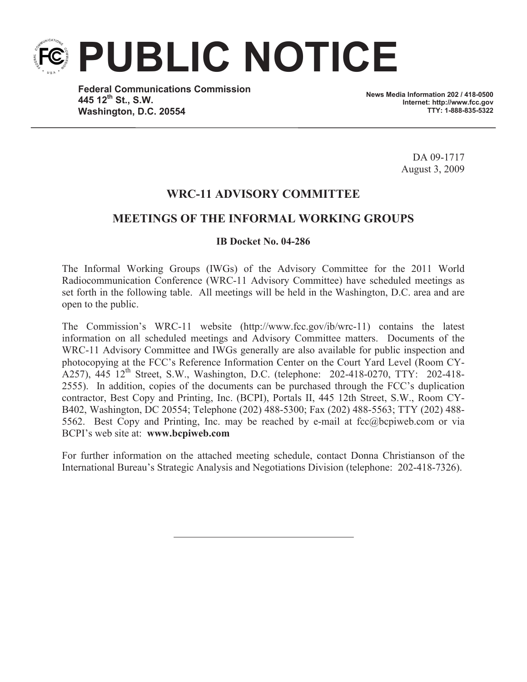**PUBLIC NOTICE**

**Federal Communications Commission 445 12th St., S.W. Washington, D.C. 20554**

**News Media Information 202 / 418-0500 Internet: http://www.fcc.gov TTY: 1-888-835-5322**

> DA 09-1717 August 3, 2009

# **WRC-11 ADVISORY COMMITTEE**

# **MEETINGS OF THE INFORMAL WORKING GROUPS**

#### **IB Docket No. 04-286**

The Informal Working Groups (IWGs) of the Advisory Committee for the 2011 World Radiocommunication Conference (WRC-11 Advisory Committee) have scheduled meetings as set forth in the following table. All meetings will be held in the Washington, D.C. area and are open to the public.

The Commission's WRC-11 website (http://www.fcc.gov/ib/wrc-11) contains the latest information on all scheduled meetings and Advisory Committee matters. Documents of the WRC-11 Advisory Committee and IWGs generally are also available for public inspection and photocopying at the FCC's Reference Information Center on the Court Yard Level (Room CY-A257), 445 12<sup>th</sup> Street, S.W., Washington, D.C. (telephone: 202-418-0270, TTY: 202-418-2555). In addition, copies of the documents can be purchased through the FCC's duplication contractor, Best Copy and Printing, Inc. (BCPI), Portals II, 445 12th Street, S.W., Room CY-B402, Washington, DC 20554; Telephone (202) 488-5300; Fax (202) 488-5563; TTY (202) 488- 5562. Best Copy and Printing, Inc. may be reached by e-mail at fcc@bcpiweb.com or via BCPI's web site at: **www.bcpiweb.com**

For further information on the attached meeting schedule, contact Donna Christianson of the International Bureau's Strategic Analysis and Negotiations Division (telephone: 202-418-7326).